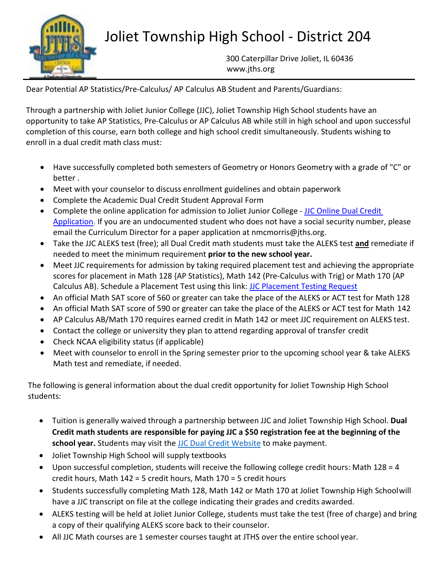

## Joliet Township High School - District 204

300 Caterpillar Drive Joliet, IL 6043[6](http://www.jths.org/) [www.jths.org](http://www.jths.org/)

Dear Potential AP Statistics/Pre-Calculus/ AP Calculus AB Student and Parents/Guardians:

Through a partnership with Joliet Junior College (JJC), Joliet Township High School students have an opportunity to take AP Statistics, Pre-Calculus or AP Calculus AB while still in high school and upon successful completion of this course, earn both college and high school credit simultaneously. Students wishing to enroll in a dual credit math class must:

- Have successfully completed both semesters of Geometry or Honors Geometry with a grade of "C" or better .
- Meet with your counselor to discuss enrollment guidelines and obtain paperwork
- Complete the Academic Dual Credit Student Approval Form
- Complete the online application for admission to Joliet Junior College [JJC Online Dual Credit](https://bit.ly/2ZTFl9j) [Application.](https://bit.ly/2ZTFl9j) If you are an undocumented student who does not have a social security number, please email the Curriculum Director for a paper application at nmcmorris@jths.org.
- Take the JJC ALEKS test (free); all Dual Credit math students must take the ALEKS test **and** remediate if needed to meet the minimum requirement **prior to the new school year.**
- Meet JJC requirements for admission by taking required placement test and achieving the appropriate scores for placement in Math 128 {AP Statistics), Math 142 (Pre-Calculus with Trig) or Math 170 {AP Calculus AB). Schedule a Placement Test using this link: **[JJC Placement Testing Request](https://bit.ly/3EERaiS)**
- An official Math SAT score of 560 or greater can take the place of the ALEKS or ACT test for Math 128
- An official Math SAT score of 590 or greater can take the place of the ALEKS or ACT test for Math 142
- AP Calculus AB/Math 170 requires earned credit in Math 142 or meet JJC requirement on ALEKS test.
- Contact the college or university they plan to attend regarding approval of transfer credit
- Check NCAA eligibility status (if applicable)
- Meet with counselor to enroll in the Spring semester prior to the upcoming school year & take ALEKS Math test and remediate, if needed.

The following is general information about the dual credit opportunity for Joliet Township High School students:

- Tuition is generally waived through a partnership between JJC and Joliet Township High School. **Dual Credit math students are responsible for paying JJC a \$50 registration fee at the beginning of the school year.** Students may visit the [JJC Dual Credit Website](https://www.jjc.edu/getting-started/admissions/dual-credit/instructor-information) to make payment.
- Joliet Township High School will supply textbooks
- Upon successful completion, students will receive the following college credit hours: Math  $128 = 4$ credit hours, Math 142 = 5 credit hours, Math 170 = 5 credit hours
- Students successfully completing Math 128, Math 142 or Math 170 at Joliet Township High Schoolwill have a JJC transcript on file at the college indicating their grades and credits awarded.
- ALEKS testing will be held at Joliet Junior College, students must take the test (free of charge) and bring a copy of their qualifying ALEKS score back to their counselor.
- All JJC Math courses are 1 semester courses taught at JTHS over the entire school year.